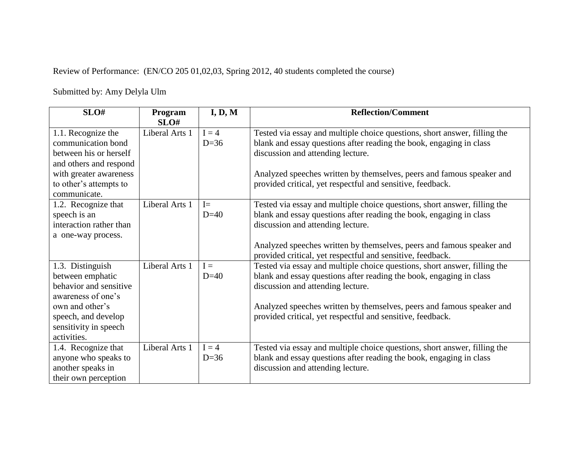Review of Performance: (EN/CO 205 01,02,03, Spring 2012, 40 students completed the course)

Submitted by: Amy Delyla Ulm

| SLO#                    | Program        | I, D, M | <b>Reflection/Comment</b>                                                 |
|-------------------------|----------------|---------|---------------------------------------------------------------------------|
|                         | SLO#           |         |                                                                           |
| 1.1. Recognize the      | Liberal Arts 1 | $I = 4$ | Tested via essay and multiple choice questions, short answer, filling the |
| communication bond      |                | $D=36$  | blank and essay questions after reading the book, engaging in class       |
| between his or herself  |                |         | discussion and attending lecture.                                         |
| and others and respond  |                |         |                                                                           |
| with greater awareness  |                |         | Analyzed speeches written by themselves, peers and famous speaker and     |
| to other's attempts to  |                |         | provided critical, yet respectful and sensitive, feedback.                |
| communicate.            |                |         |                                                                           |
| 1.2. Recognize that     | Liberal Arts 1 | $I=$    | Tested via essay and multiple choice questions, short answer, filling the |
| speech is an            |                | $D=40$  | blank and essay questions after reading the book, engaging in class       |
| interaction rather than |                |         | discussion and attending lecture.                                         |
| a one-way process.      |                |         |                                                                           |
|                         |                |         | Analyzed speeches written by themselves, peers and famous speaker and     |
|                         |                |         | provided critical, yet respectful and sensitive, feedback.                |
| 1.3. Distinguish        | Liberal Arts 1 | $I =$   | Tested via essay and multiple choice questions, short answer, filling the |
| between emphatic        |                | $D=40$  | blank and essay questions after reading the book, engaging in class       |
| behavior and sensitive  |                |         | discussion and attending lecture.                                         |
| awareness of one's      |                |         |                                                                           |
| own and other's         |                |         | Analyzed speeches written by themselves, peers and famous speaker and     |
| speech, and develop     |                |         | provided critical, yet respectful and sensitive, feedback.                |
| sensitivity in speech   |                |         |                                                                           |
| activities.             |                |         |                                                                           |
| 1.4. Recognize that     | Liberal Arts 1 | $I = 4$ | Tested via essay and multiple choice questions, short answer, filling the |
| anyone who speaks to    |                | $D=36$  | blank and essay questions after reading the book, engaging in class       |
| another speaks in       |                |         | discussion and attending lecture.                                         |
| their own perception    |                |         |                                                                           |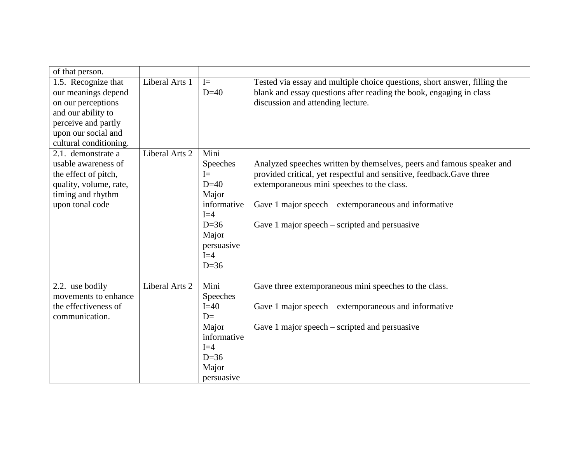| of that person.        |                |             |                                                                           |  |
|------------------------|----------------|-------------|---------------------------------------------------------------------------|--|
| 1.5. Recognize that    | Liberal Arts 1 | $I=$        | Tested via essay and multiple choice questions, short answer, filling the |  |
| our meanings depend    |                | $D=40$      | blank and essay questions after reading the book, engaging in class       |  |
| on our perceptions     |                |             | discussion and attending lecture.                                         |  |
| and our ability to     |                |             |                                                                           |  |
| perceive and partly    |                |             |                                                                           |  |
| upon our social and    |                |             |                                                                           |  |
| cultural conditioning. |                |             |                                                                           |  |
| 2.1. demonstrate a     | Liberal Arts 2 | Mini        |                                                                           |  |
| usable awareness of    |                | Speeches    | Analyzed speeches written by themselves, peers and famous speaker and     |  |
| the effect of pitch,   |                | $I=$        | provided critical, yet respectful and sensitive, feedback.Gave three      |  |
| quality, volume, rate, |                | $D=40$      | extemporaneous mini speeches to the class.                                |  |
| timing and rhythm      |                | Major       |                                                                           |  |
| upon tonal code        |                | informative | Gave 1 major speech – extemporaneous and informative                      |  |
|                        |                | $I=4$       |                                                                           |  |
|                        |                | $D=36$      | Gave 1 major speech – scripted and persuasive                             |  |
|                        |                | Major       |                                                                           |  |
|                        |                | persuasive  |                                                                           |  |
|                        |                | $I=4$       |                                                                           |  |
|                        |                | $D=36$      |                                                                           |  |
| 2.2. use bodily        | Liberal Arts 2 | Mini        | Gave three extemporaneous mini speeches to the class.                     |  |
| movements to enhance   |                | Speeches    |                                                                           |  |
| the effectiveness of   |                | $I=40$      | Gave 1 major speech – extemporaneous and informative                      |  |
| communication.         |                | $D=$        |                                                                           |  |
|                        |                | Major       | Gave 1 major speech $-$ scripted and persuasive                           |  |
|                        |                | informative |                                                                           |  |
|                        |                | $I=4$       |                                                                           |  |
|                        |                | $D=36$      |                                                                           |  |
|                        |                | Major       |                                                                           |  |
|                        |                | persuasive  |                                                                           |  |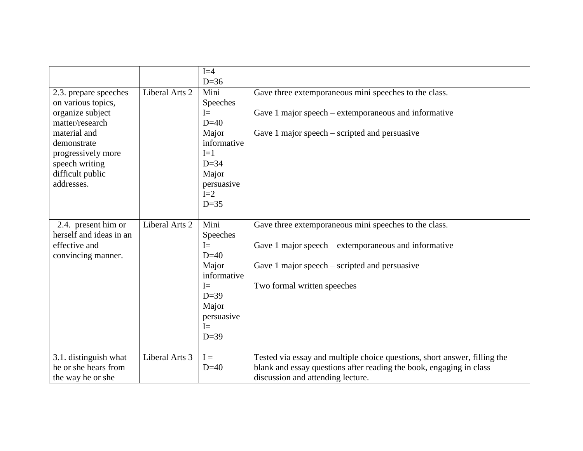|                                                |                | $I=4$<br>$D=36$      |                                                                                                          |  |
|------------------------------------------------|----------------|----------------------|----------------------------------------------------------------------------------------------------------|--|
| 2.3. prepare speeches<br>on various topics,    | Liberal Arts 2 | Mini<br>Speeches     | Gave three extemporaneous mini speeches to the class.                                                    |  |
| organize subject<br>matter/research            |                | $I=$<br>$D=40$       | Gave 1 major speech – extemporaneous and informative                                                     |  |
| material and<br>demonstrate                    |                | Major<br>informative | Gave 1 major speech – scripted and persuasive                                                            |  |
| progressively more                             |                | $I=1$                |                                                                                                          |  |
| speech writing<br>difficult public             |                | $D=34$<br>Major      |                                                                                                          |  |
| addresses.                                     |                | persuasive<br>$I=2$  |                                                                                                          |  |
|                                                |                | $D=35$               |                                                                                                          |  |
| 2.4. present him or<br>herself and ideas in an | Liberal Arts 2 | Mini<br>Speeches     | Gave three extemporaneous mini speeches to the class.                                                    |  |
| effective and<br>convincing manner.            |                | $I=$<br>$D=40$       | Gave 1 major speech – extemporaneous and informative                                                     |  |
|                                                |                | Major<br>informative | Gave 1 major speech $-$ scripted and persuasive                                                          |  |
|                                                |                | $I=$<br>$D=39$       | Two formal written speeches                                                                              |  |
|                                                |                | Major                |                                                                                                          |  |
|                                                |                | persuasive<br>$I =$  |                                                                                                          |  |
|                                                |                | $D=39$               |                                                                                                          |  |
| 3.1. distinguish what                          | Liberal Arts 3 | $I =$                | Tested via essay and multiple choice questions, short answer, filling the                                |  |
| he or she hears from<br>the way he or she      |                | $D=40$               | blank and essay questions after reading the book, engaging in class<br>discussion and attending lecture. |  |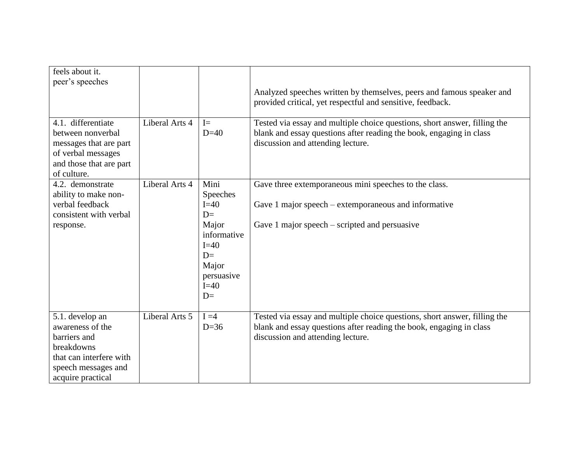| feels about it.<br>peer's speeches                                                                                                       |                |                                                                                                                       | Analyzed speeches written by themselves, peers and famous speaker and<br>provided critical, yet respectful and sensitive, feedback.                                                   |
|------------------------------------------------------------------------------------------------------------------------------------------|----------------|-----------------------------------------------------------------------------------------------------------------------|---------------------------------------------------------------------------------------------------------------------------------------------------------------------------------------|
| 4.1. differentiate<br>between nonverbal<br>messages that are part<br>of verbal messages<br>and those that are part<br>of culture.        | Liberal Arts 4 | $I=$<br>$D=40$                                                                                                        | Tested via essay and multiple choice questions, short answer, filling the<br>blank and essay questions after reading the book, engaging in class<br>discussion and attending lecture. |
| 4.2. demonstrate<br>ability to make non-<br>verbal feedback<br>consistent with verbal<br>response.                                       | Liberal Arts 4 | Mini<br>Speeches<br>$I=40$<br>$D=$<br>Major<br>informative<br>$I=40$<br>$D=$<br>Major<br>persuasive<br>$I=40$<br>$D=$ | Gave three extemporaneous mini speeches to the class.<br>Gave 1 major speech – extemporaneous and informative<br>Gave 1 major speech $-$ scripted and persuasive                      |
| 5.1. develop an<br>awareness of the<br>barriers and<br>breakdowns<br>that can interfere with<br>speech messages and<br>acquire practical | Liberal Arts 5 | $I = 4$<br>$D=36$                                                                                                     | Tested via essay and multiple choice questions, short answer, filling the<br>blank and essay questions after reading the book, engaging in class<br>discussion and attending lecture. |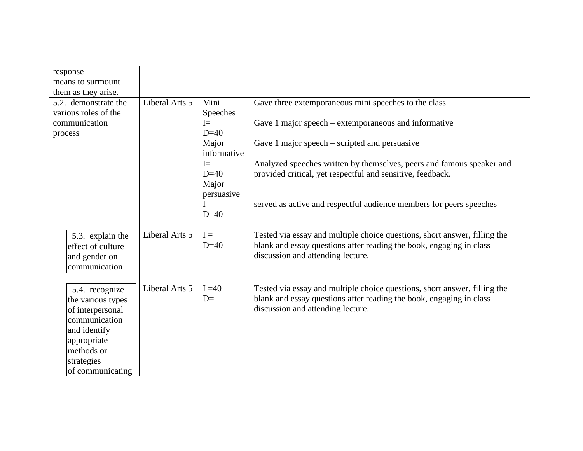| response<br>means to surmount<br>them as they arise.                                                                                                    |                |                              |                                                                                                                                                                                       |  |
|---------------------------------------------------------------------------------------------------------------------------------------------------------|----------------|------------------------------|---------------------------------------------------------------------------------------------------------------------------------------------------------------------------------------|--|
| Liberal Arts 5<br>5.2. demonstrate the<br>various roles of the                                                                                          |                | Mini<br>Speeches             | Gave three extemporaneous mini speeches to the class.                                                                                                                                 |  |
| communication<br>process                                                                                                                                | $I=$<br>$D=40$ |                              | Gave 1 major speech – extemporaneous and informative                                                                                                                                  |  |
|                                                                                                                                                         |                | Major<br>informative         | Gave 1 major speech $-$ scripted and persuasive                                                                                                                                       |  |
|                                                                                                                                                         |                | $I =$<br>$D=40$<br>Major     | Analyzed speeches written by themselves, peers and famous speaker and<br>provided critical, yet respectful and sensitive, feedback.                                                   |  |
|                                                                                                                                                         |                | persuasive<br>$I=$<br>$D=40$ | served as active and respectful audience members for peers speeches                                                                                                                   |  |
| 5.3. explain the<br>effect of culture<br>and gender on<br>communication                                                                                 | Liberal Arts 5 | $I =$<br>$D=40$              | Tested via essay and multiple choice questions, short answer, filling the<br>blank and essay questions after reading the book, engaging in class<br>discussion and attending lecture. |  |
| 5.4. recognize<br>the various types<br>of interpersonal<br>communication<br>and identify<br>appropriate<br>methods or<br>strategies<br>of communicating | Liberal Arts 5 | $I = 40$<br>$D=$             | Tested via essay and multiple choice questions, short answer, filling the<br>blank and essay questions after reading the book, engaging in class<br>discussion and attending lecture. |  |